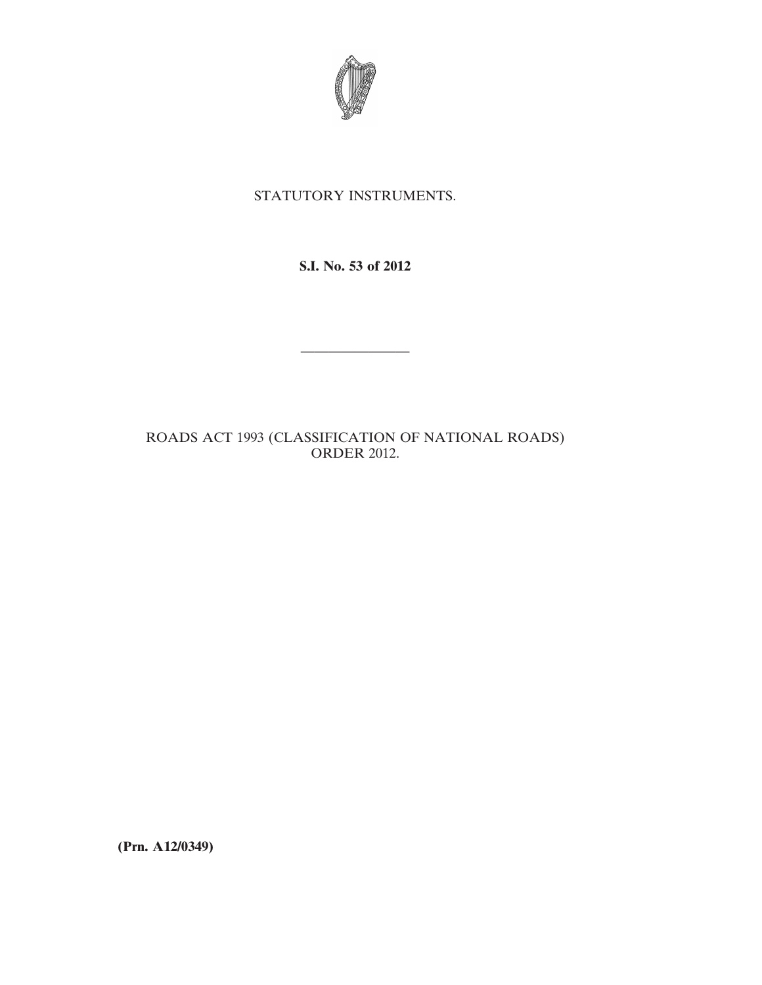

# STATUTORY INSTRUMENTS.

**S.I. No. 53 of 2012**

————————

ROADS ACT 1993 (CLASSIFICATION OF NATIONAL ROADS) ORDER 2012.

**(Prn. A12/0349)**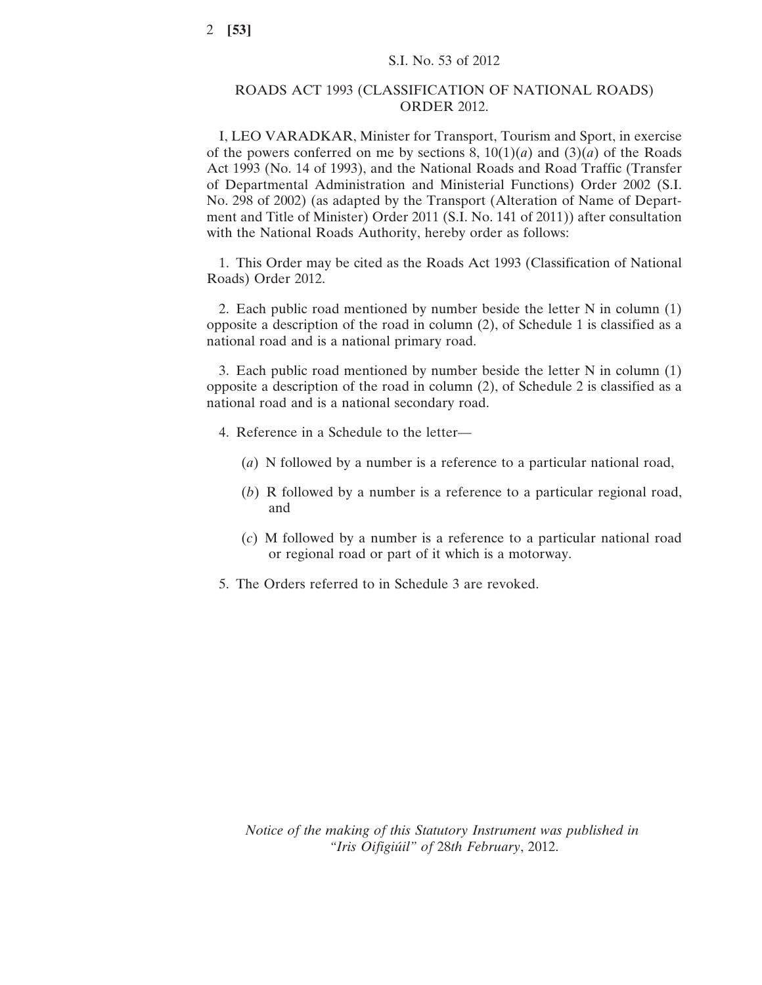## ROADS ACT 1993 (CLASSIFICATION OF NATIONAL ROADS) ORDER 2012.

I, LEO VARADKAR, Minister for Transport, Tourism and Sport, in exercise of the powers conferred on me by sections 8,  $10(1)(a)$  and  $(3)(a)$  of the Roads Act 1993 (No. 14 of 1993), and the National Roads and Road Traffic (Transfer of Departmental Administration and Ministerial Functions) Order 2002 (S.I. No. 298 of 2002) (as adapted by the Transport (Alteration of Name of Department and Title of Minister) Order 2011 (S.I. No. 141 of 2011)) after consultation with the National Roads Authority, hereby order as follows:

1. This Order may be cited as the Roads Act 1993 (Classification of National Roads) Order 2012.

2. Each public road mentioned by number beside the letter N in column (1) opposite a description of the road in column (2), of Schedule 1 is classified as a national road and is a national primary road.

3. Each public road mentioned by number beside the letter N in column (1) opposite a description of the road in column (2), of Schedule 2 is classified as a national road and is a national secondary road.

- 4. Reference in a Schedule to the letter—
	- (*a*) N followed by a number is a reference to a particular national road,
	- (*b*) R followed by a number is a reference to a particular regional road, and
	- (*c*) M followed by a number is a reference to a particular national road or regional road or part of it which is a motorway.
- 5. The Orders referred to in Schedule 3 are revoked.

*Notice of the making of this Statutory Instrument was published in "Iris Oifigiúil" of* 28*th February*, 2012.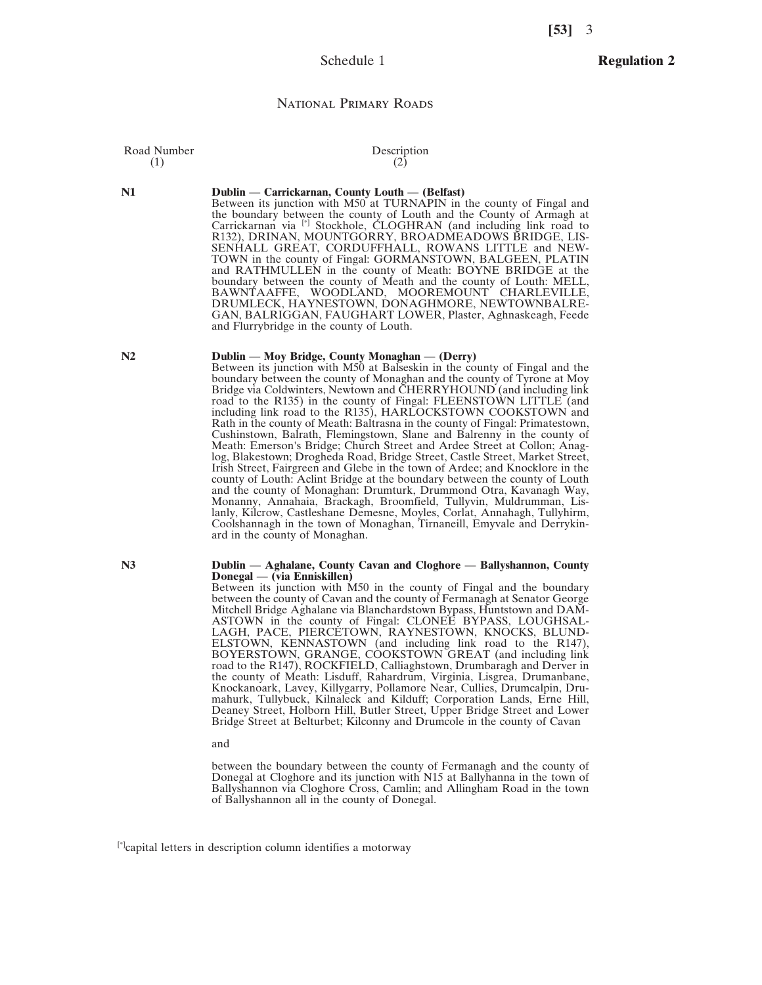## Schedule 1

## **Regulation 2**

#### National Primary Roads

Road Number Description<br>
(1) (2)  $(1)$  (2)

#### **N1 Dublin** — **Carrickarnan, County Louth** — **(Belfast)**

Between its junction with M50 at TURNAPIN in the county of Fingal and the boundary between the county of Louth and the County of Armagh at Carrickarnan via [\*] Stockhole, CLOGHRAN (and including link road to R132), DRINAN, MOUNTGORRY, BROADMEADOWS BRIDGE, LIS-SENHALL GREAT, CORDUFFHALL, ROWANS LITTLE and NEW-TOWN in the county of Fingal: GORMANSTOWN, BALGEEN, PLATIN and RATHMULLEN in the county of Meath: BOYNE BRIDGE at the boundary between the county of Meath and the county of Louth: MELL, BAWNTAAFFE, WOODLAND, MOOREMOUNT CHARLEVILLE, DRUMLECK, HAYNESTOWN, DONAGHMORE, NEWTOWNBALRE-GAN, BALRIGGAN, FAUGHART LOWER, Plaster, Aghnaskeagh, Feede and Flurrybridge in the county of Louth.

### **N2 Dublin** — **Moy Bridge, County Monaghan** — **(Derry)**

Between its junction with M50 at Balseskin in the county of Fingal and the boundary between the county of Monaghan and the county of Tyrone at Moy Bridge via Coldwinters, Newtown and CHERRYHOUND (and including link road to the R135) in the county of Fingal: FLEENSTOWN LITTLE (and including link road to the R135), HARLOCKSTOWN COOKSTOWN and Rath in the county of Meath: Baltrasna in the county of Fingal: Primatestown, Cushinstown, Balrath, Flemingstown, Slane and Balrenny in the county of Meath: Emerson's Bridge; Church Street and Ardee Street at Collon; Anaglog, Blakestown; Drogheda Road, Bridge Street, Castle Street, Market Street, Irish Street, Fairgreen and Glebe in the town of Ardee; and Knocklore in the county of Louth: Aclint Bridge at the boundary between the county of Louth and the county of Monaghan: Drumturk, Drummond Otra, Kavanagh Way, Monanny, Annahaia, Brackagh, Broomfield, Tullyvin, Muldrumman, Lislanly, Kilcrow, Castleshane Demesne, Moyles, Corlat, Annahagh, Tullyhirm, Coolshannagh in the town of Monaghan, Tirnaneill, Emyvale and Derrykinard in the county of Monaghan.

#### **N3 Dublin** — **Aghalane, County Cavan and Cloghore** — **Ballyshannon, County Donegal** — **(via Enniskillen)**

Between its junction with M50 in the county of Fingal and the boundary between the county of Cavan and the county of Fermanagh at Senator George Mitchell Bridge Aghalane via Blanchardstown Bypass, Huntstown and DAM-ASTOWN in the county of Fingal: CLONEE BYPASS, LOUGHSAL-LAGH, PACE, PIERCÉTOWN, RAYNESTOWN, KNOCKS, BLUND-ELSTOWN, KENNASTOWN (and including link road to the R147), BOYERSTOWN, GRANGE, COOKSTOWN GREAT (and including link road to the R147), ROCKFIELD, Calliaghstown, Drumbaragh and Derver in the county of Meath: Lisduff, Rahardrum, Virginia, Lisgrea, Drumanbane, Knockanoark, Lavey, Killygarry, Pollamore Near, Cullies, Drumcalpin, Drumahurk, Tullybuck, Kilnaleck and Kilduff; Corporation Lands, Erne Hill, Deaney Street, Holborn Hill, Butler Street, Upper Bridge Street and Lower Bridge Street at Belturbet; Kilconny and Drumcole in the county of Cavan

and

between the boundary between the county of Fermanagh and the county of Donegal at Cloghore and its junction with N15 at Ballyhanna in the town of Ballyshannon via Cloghore Cross, Camlin; and Allingham Road in the town of Ballyshannon all in the county of Donegal.

[\*]capital letters in description column identifies a motorway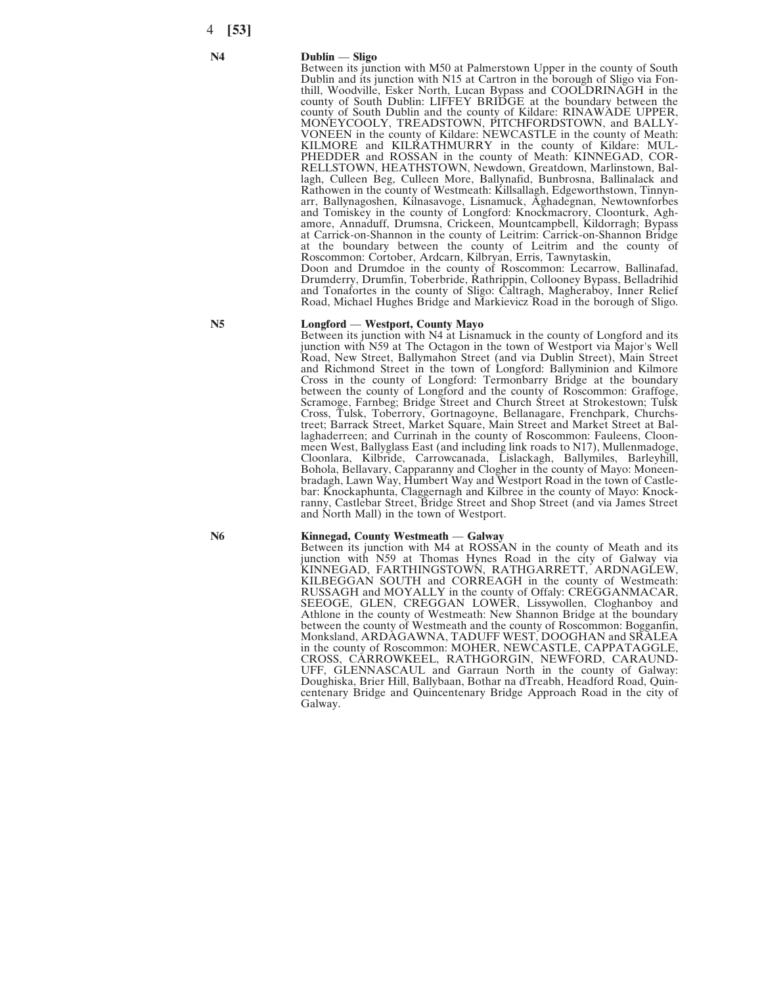#### **N4 Dublin** — **Sligo**

Between its junction with M50 at Palmerstown Upper in the county of South Dublin and its junction with N15 at Cartron in the borough of Sligo via Fonthill, Woodville, Esker North, Lucan Bypass and COOLDRINAGH in the county of South Dublin: LIFFEY BRIDGE at the boundary between the county of South Dublin and the county of Kildare: RINAWADE UPPER, MONEYCOOLY, TREADSTOWN, PITCHFORDSTOWN, and BALLY-VONEEN in the county of Kildare: NEWCASTLE in the county of Meath: KILMORE and KILRATHMURRY in the county of Kildare: MUL-PHEDDER and ROSSAN in the county of Meath: KINNEGAD, COR-RELLSTOWN, HEATHSTOWN, Newdown, Greatdown, Marlinstown, Ballagh, Culleen Beg, Culleen More, Ballynafid, Bunbrosna, Ballinalack and Rathowen in the county of Westmeath: Killsallagh, Edgeworthstown, Tinnynarr, Ballynagoshen, Kilnasavoge, Lisnamuck, Aghadegnan, Newtownforbes and Tomiskey in the county of Longford: Knockmacrory, Cloonturk, Aghamore, Annaduff, Drumsna, Crickeen, Mountcampbell, Kildorragh; Bypass at Carrick-on-Shannon in the county of Leitrim: Carrick-on-Shannon Bridge at the boundary between the county of Leitrim and the county of Roscommon: Cortober, Ardcarn, Kilbryan, Erris, Tawnytaskin, Doon and Drumdoe in the county of Roscommon: Lecarrow, Ballinafad, Drumderry, Drumfin, Toberbride, Rathrippin, Collooney Bypass, Belladrihid and Tonafortes in the county of Sligo: Caltragh, Magheraboy, Inner Relief

Road, Michael Hughes Bridge and Markievicz Road in the borough of Sligo.

Between its junction with N4 at Lisnamuck in the county of Longford and its junction with N59 at The Octagon in the town of Westport via Major's Well Road, New Street, Ballymahon Street (and via Dublin Street), Main Street and Richmond Street in the town of Longford: Ballyminion and Kilmore Cross in the county of Longford: Termonbarry Bridge at the boundary between the county of Longford and the county of Roscommon: Graffoge, Scramoge, Farnbeg; Bridge Street and Church Street at Strokestown; Tulsk Cross, Tulsk, Toberrory, Gortnagoyne, Bellanagare, Frenchpark, Churchstreet; Barrack Street, Market Square, Main Street and Market Street at Ballaghaderreen; and Currinah in the county of Roscommon: Fauleens, Cloonmeen West, Ballyglass East (and including link roads to N17), Mullenmadoge, Cloonlara, Kilbride, Carrowcanada, Lislackagh, Ballymiles, Barleyhill, Bohola, Bellavary, Capparanny and Clogher in the county of Mayo: Moneenbradagh, Lawn Way, Humbert Way and Westport Road in the town of Castlebar: Knockaphunta, Claggernagh and Kilbree in the county of Mayo: Knock-

**N5 Longford** — **Westport, County Mayo**

ranny, Castlebar Street, Bridge Street and Shop Street (and via James Street and North Mall) in the town of Westport.

#### **N6 Kinnegad, County Westmeath** — **Galway**

Between its junction with M4 at ROSSAN in the county of Meath and its junction with N59 at Thomas Hynes Road in the city of Galway via KINNEGAD, FARTHINGSTOWN, RATHGARRETT, ARDNAGLEW, KILBEGGAN SOUTH and CORREAGH in the county of Westmeath: RUSSAGH and MOYALLY in the county of Offaly: CREGGANMACAR, SEEOGE, GLEN, CREGGAN LOWER, Lissywollen, Cloghanboy and Athlone in the county of Westmeath: New Shannon Bridge at the boundary between the county of Westmeath and the county of Roscommon: Bogganfin, Monksland, ARDAGAWNA, TADUFF WEST, DOOGHAN and SRALEA in the county of Roscommon: MOHER, NEWCASTLE, CAPPATAGGLE, CROSS, CARROWKEEL, RATHGORGIN, NEWFORD, CARAUND-UFF, GLENNASCAUL and Garraun North in the county of Galway: Doughiska, Brier Hill, Ballybaan, Bothar na dTreabh, Headford Road, Quincentenary Bridge and Quincentenary Bridge Approach Road in the city of Galway.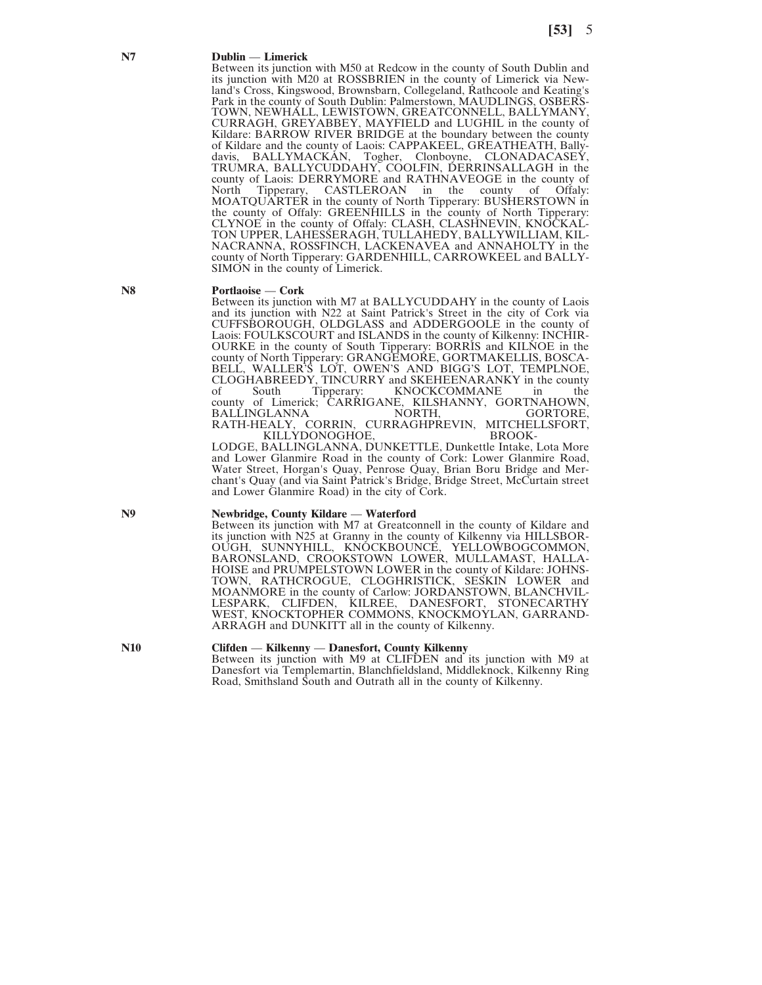#### **N7 Dublin** — **Limerick**

Between its junction with M50 at Redcow in the county of South Dublin and its junction with M20 at ROSSBRIEN in the county of Limerick via Newland's Cross, Kingswood, Brownsbarn, Collegeland, Rathcoole and Keating's Park in the county of South Dublin: Palmerstown, MAUDLINGS, OSBERS-TOWN, NEWHALL, LEWISTOWN, GREATCONNELL, BALLYMANY, CURRAGH, GREYABBEY, MAYFIELD and LUGHIL in the county of Kildare: BARROW RIVER BRIDGE at the boundary between the county of Kildare and the county of Laois: CAPPAKEEL, GREATHEATH, Ballydavis, BALLYMACKAN, Togher, Clonboyne, CLONADACASEY, TRUMRA, BALLYCUDDAHY, COOLFIN, DERRINSALLAGH in the county of Laois: DERRYMORE and RATHNAVEOGE in the county of Offaly:<br>North Tipperary, CASTLEROAN in the county of Offaly:  $CASTLEROAN$ MOATQUARTER in the county of North Tipperary: BUSHERSTOWN in the county of Offaly: GREENHILLS in the county of North Tipperary: CLYNOE in the county of Offaly: CLASH, CLASHNEVIN, KNOCKAL-TON UPPER, LAHESSERAGH, TULLAHEDY, BALLYWILLIAM, KIL-NACRANNA, ROSSFINCH, LACKENAVEA and ANNAHOLTY in the county of North Tipperary: GARDENHILL, CARROWKEEL and BALLY-SIMON in the county of Limerick.

#### **N8 Portlaoise** — **Cork**

Between its junction with M7 at BALLYCUDDAHY in the county of Laois and its junction with N22 at Saint Patrick's Street in the city of Cork via CUFFSBOROUGH, OLDGLASS and ADDERGOOLE in the county of Laois: FOULKSCOURT and ISLANDS in the county of Kilkenny: INCHIR-OURKE in the county of South Tipperary: BORRIS and KILNOE in the county of North Tipperary: GRANGEMORE, GORTMAKELLIS, BOSCA-BELL, WALLER'S LOT, OWEN'S AND BIGG'S LOT, TEMPLNOE, CLOGHABREEDY, TINCURRY and SKEHEENARANKY in the county of South Tipperary: KNOCKCOMMANE in the county of Limerick; CARRIGANE, KILSHANNY, GORTNAHOWN, BALLINGLANNA NORTH, GORTORE, BALLINGLANNA RATH-HEALY, CORRIN, CURRAGHPREVIN, MITCHELLSFORT,<br>KILLYDONOGHOE, BROOK-KILLYDONOGHOE,

LODGE, BALLINGLANNA, DUNKETTLE, Dunkettle Intake, Lota More and Lower Glanmire Road in the county of Cork: Lower Glanmire Road, Water Street, Horgan's Quay, Penrose Quay, Brian Boru Bridge and Merchant's Quay (and via Saint Patrick's Bridge, Bridge Street, McCurtain street and Lower Glanmire Road) in the city of Cork.

#### **N9 Newbridge, County Kildare** — **Waterford**

Between its junction with M7 at Greatconnell in the county of Kildare and its junction with N25 at Granny in the county of Kilkenny via HILLSBOR-OUGH, SUNNYHILL, KNÓCKBOUNCÉ, YELLOWBOGCOMMON, BARONSLAND, CROOKSTOWN LOWER, MULLAMAST, HALLA-HOISE and PRUMPELSTOWN LOWER in the county of Kildare: JOHNS-TOWN, RATHCROGUE, CLOGHRISTICK, SESKIN LOWER and MOANMORE in the county of Carlow: JORDANSTOWN, BLANCHVIL-LESPARK, CLIFDEN, KILREE, DANESFORT, STONECARTHY WEST, KNOCKTOPHER COMMONS, KNOCKMOYLAN, GARRAND-ARRAGH and DUNKITT all in the county of Kilkenny.

#### **N10 Clifden** — **Kilkenny** — **Danesfort, County Kilkenny**

Between its junction with M9 at CLIFDEN and its junction with M9 at Danesfort via Templemartin, Blanchfieldsland, Middleknock, Kilkenny Ring Road, Smithsland South and Outrath all in the county of Kilkenny.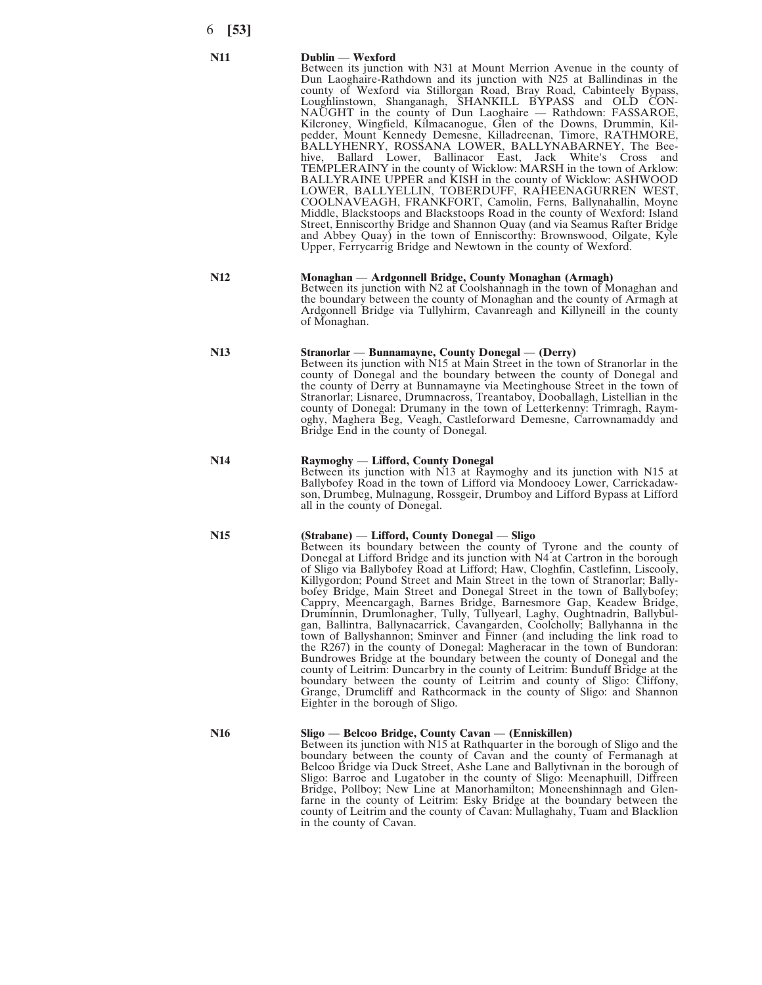#### **N11 Dublin** — **Wexford**

Between its junction with N31 at Mount Merrion Avenue in the county of Dun Laoghaire-Rathdown and its junction with N25 at Ballindinas in the county of Wexford via Stillorgan Road, Bray Road, Cabinteely Bypass, Loughlinstown, Shanganagh, SHANKILL BYPASS and OLD CON-NAUGHT in the county of Dun Laoghaire — Rathdown: FASSAROE, Kilcroney, Wingfield, Kilmacanogue, Glen of the Downs, Drummin, Kilpedder, Mount Kennedy Demesne, Killadreenan, Timore, RATHMORE, BALLYHENRY, ROSSANA LOWER, BALLYNABARNEY, The Beehive, Ballard Lower, Ballinacor East, Jack White's Cross and TEMPLERAINY in the county of Wicklow: MARSH in the town of Arklow: BALLYRAINE UPPER and KISH in the county of Wicklow: ASHWOOD LOWER, BALLYELLIN, TOBERDUFF, RAHEENAGURREN WEST, COOLNAVEAGH, FRANKFORT, Camolin, Ferns, Ballynahallin, Moyne Middle, Blackstoops and Blackstoops Road in the county of Wexford: Island Street, Enniscorthy Bridge and Shannon Quay (and via Seamus Rafter Bridge and Abbey Quay) in the town of Enniscorthy: Brownswood, Oilgate, Kyle Upper, Ferrycarrig Bridge and Newtown in the county of Wexford.

#### **N12 Monaghan** — **Ardgonnell Bridge, County Monaghan (Armagh)** Between its junction with N2 at Coolshannagh in the town of Monaghan and the boundary between the county of Monaghan and the county of Armagh at Ardgonnell Bridge via Tullyhirm, Cavanreagh and Killyneill in the county

**N13 Stranorlar** — **Bunnamayne, County Donegal** — **(Derry)** Between its junction with N15 at Main Street in the town of Stranorlar in the county of Donegal and the boundary between the county of Donegal and the county of Derry at Bunnamayne via Meetinghouse Street in the town of Stranorlar; Lisnaree, Drumnacross, Treantaboy, Dooballagh, Listellian in the county of Donegal: Drumany in the town of Letterkenny: Trimragh, Raymoghy, Maghera Beg, Veagh, Castleforward Demesne, Carrownamaddy and Bridge End in the county of Donegal.

## **N14 Raymoghy** — **Lifford, County Donegal**

of Monaghan.

Between its junction with N13 at Raymoghy and its junction with N15 at Ballybofey Road in the town of Lifford via Mondooey Lower, Carrickadawson, Drumbeg, Mulnagung, Rossgeir, Drumboy and Lifford Bypass at Lifford all in the county of Donegal.

## **N15 (Strabane)** — **Lifford, County Donegal** — **Sligo**

Between its boundary between the county of Tyrone and the county of Donegal at Lifford Bridge and its junction with N4 at Cartron in the borough of Sligo via Ballybofey Road at Lifford; Haw, Cloghfin, Castlefinn, Liscooly, Killygordon; Pound Street and Main Street in the town of Stranorlar; Ballybofey Bridge, Main Street and Donegal Street in the town of Ballybofey; Cappry, Meencargagh, Barnes Bridge, Barnesmore Gap, Keadew Bridge, Druminnin, Drumlonagher, Tully, Tullyearl, Laghy, Oughtnadrin, Ballybulgan, Ballintra, Ballynacarrick, Cavangarden, Coolcholly; Ballyhanna in the town of Ballyshannon; Sminver and Finner (and including the link road to the R267) in the county of Donegal: Magheracar in the town of Bundoran: Bundrowes Bridge at the boundary between the county of Donegal and the county of Leitrim: Duncarbry in the county of Leitrim: Bunduff Bridge at the boundary between the county of Leitrim and county of Sligo: Cliffony, Grange, Drumcliff and Rathcormack in the county of Sligo: and Shannon Eighter in the borough of Sligo.

## **N16 Sligo** — **Belcoo Bridge, County Cavan** — **(Enniskillen)**

Between its junction with N15 at Rathquarter in the borough of Sligo and the boundary between the county of Cavan and the county of Fermanagh at Belcoo Bridge via Duck Street, Ashe Lane and Ballytivnan in the borough of Sligo: Barroe and Lugatober in the county of Sligo: Meenaphuill, Diffreen Bridge, Pollboy; New Line at Manorhamilton; Moneenshinnagh and Glenfarne in the county of Leitrim: Esky Bridge at the boundary between the county of Leitrim and the county of Cavan: Mullaghahy, Tuam and Blacklion in the county of Cavan.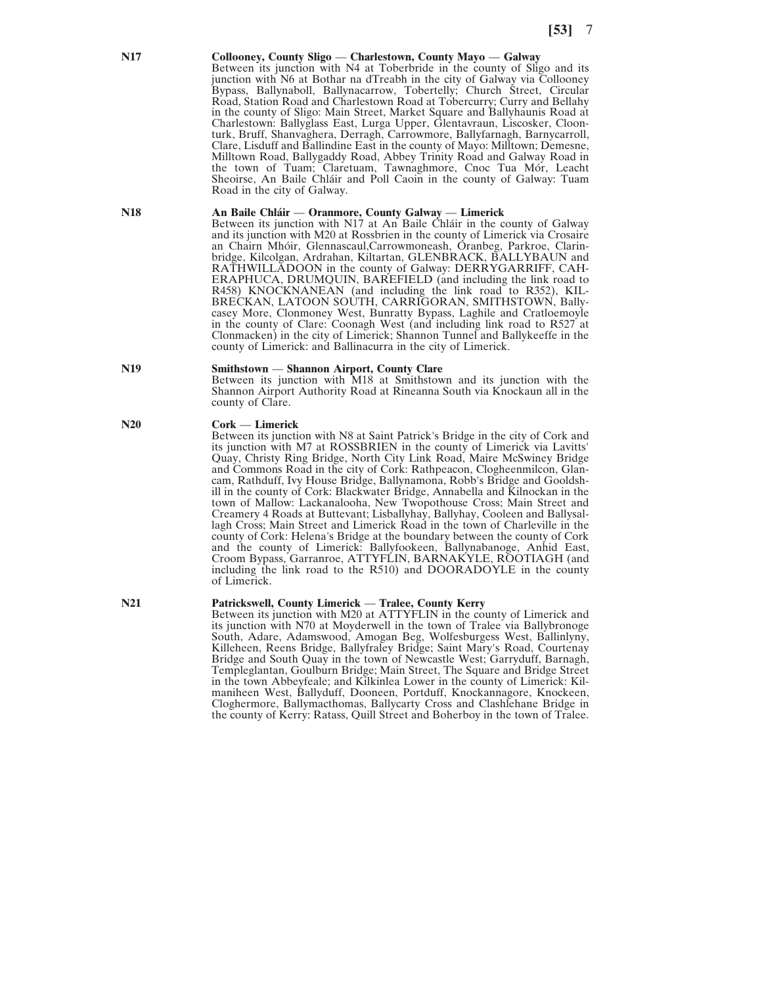#### **N17 Collooney, County Sligo** — **Charlestown, County Mayo** — **Galway**

Between its junction with N4 at Toberbride in the county of Sligo and its junction with N6 at Bothar na dTreabh in the city of Galway via Collooney Bypass, Ballynaboll, Ballynacarrow, Tobertelly; Church Street, Circular Road, Station Road and Charlestown Road at Tobercurry; Curry and Bellahy in the county of Sligo: Main Street, Market Square and Ballyhaunis Road at Charlestown: Ballyglass East, Lurga Upper, Glentavraun, Liscosker, Cloonturk, Bruff, Shanvaghera, Derragh, Carrowmore, Ballyfarnagh, Barnycarroll, Clare, Lisduff and Ballindine East in the county of Mayo: Milltown; Demesne, Milltown Road, Ballygaddy Road, Abbey Trinity Road and Galway Road in the town of Tuam; Claretuam, Tawnaghmore, Cnoc Tua Mór, Leacht Sheoirse, An Baile Chláir and Poll Caoin in the county of Galway: Tuam Road in the city of Galway.

#### **N18 An Baile Chláir** — **Oranmore, County Galway** — **Limerick**

Between its junction with N17 at An Baile Chláir in the county of Galway and its junction with M20 at Rossbrien in the county of Limerick via Crosaire an Chairn Mhóir, Glennascaul,Carrowmoneash, Oranbeg, Parkroe, Clarinbridge, Kilcolgan, Ardrahan, Kiltartan, GLENBRACK, BALLYBAUN and RATHWILLADOON in the county of Galway: DERRYGARRIFF, CAH-ERAPHUCA, DRUMQUIN, BAREFIELD (and including the link road to R458) KNOCKNANEAN (and including the link road to R352), KIL-BRECKAN, LATOON SOUTH, CARRIGORAN, SMITHSTOWN, Ballycasey More, Clonmoney West, Bunratty Bypass, Laghile and Cratloemoyle in the county of Clare: Coonagh West (and including link road to R527 at Clonmacken) in the city of Limerick; Shannon Tunnel and Ballykeeffe in the county of Limerick: and Ballinacurra in the city of Limerick.

## **N19 Smithstown** — **Shannon Airport, County Clare**

Between its junction with M18 at Smithstown and its junction with the Shannon Airport Authority Road at Rineanna South via Knockaun all in the county of Clare.

#### **N20 Cork** — **Limerick**

Between its junction with N8 at Saint Patrick's Bridge in the city of Cork and its junction with M7 at ROSSBRIEN in the county of Limerick via Lavitts' Quay, Christy Ring Bridge, North City Link Road, Maire McSwiney Bridge and Commons Road in the city of Cork: Rathpeacon, Clogheenmilcon, Glancam, Rathduff, Ivy House Bridge, Ballynamona, Robb's Bridge and Gooldshill in the county of Cork: Blackwater Bridge, Annabella and Kilnockan in the town of Mallow: Lackanalooha, New Twopothouse Cross; Main Street and Creamery 4 Roads at Buttevant; Lisballyhay, Ballyhay, Cooleen and Ballysallagh Cross; Main Street and Limerick Road in the town of Charleville in the county of Cork: Helena's Bridge at the boundary between the county of Cork and the county of Limerick: Ballyfookeen, Ballynabanoge, Anhid East, Croom Bypass, Garranroe, ATTYFLIN, BARNAKYLE, ROOTIAGH (and including the link road to the R510) and DOORADOYLE in the county of Limerick.

#### **N21 Patrickswell, County Limerick** — **Tralee, County Kerry**

Between its junction with M20 at ATTYFLIN in the county of Limerick and its junction with N70 at Moyderwell in the town of Tralee via Ballybronoge South, Adare, Adamswood, Amogan Beg, Wolfesburgess West, Ballinlyny, Killeheen, Reens Bridge, Ballyfraley Bridge; Saint Mary's Road, Courtenay Bridge and South Quay in the town of Newcastle West; Garryduff, Barnagh, Templeglantan, Goulburn Bridge; Main Street, The Square and Bridge Street in the town Abbeyfeale; and Kilkinlea Lower in the county of Limerick: Kilmaniheen West, Ballyduff, Dooneen, Portduff, Knockannagore, Knockeen, Cloghermore, Ballymacthomas, Ballycarty Cross and Clashlehane Bridge in the county of Kerry: Ratass, Quill Street and Boherboy in the town of Tralee.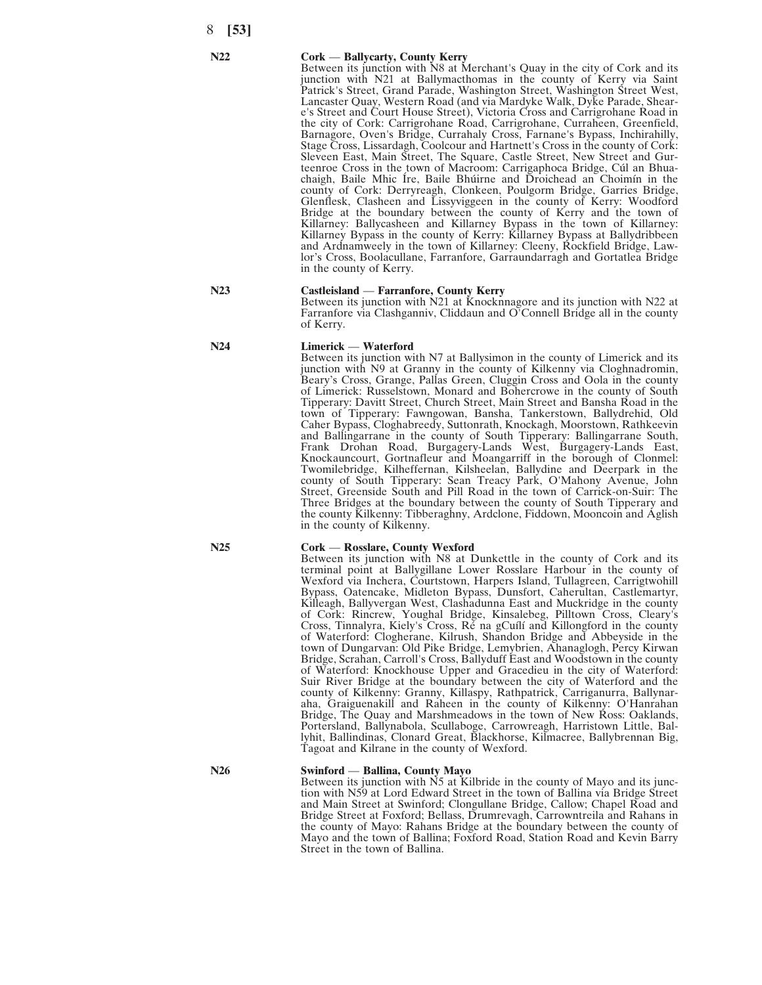#### **N22 Cork** — **Ballycarty, County Kerry**

Between its junction with N8 at Merchant's Quay in the city of Cork and its junction with N21 at Ballymacthomas in the county of Kerry via Saint Patrick's Street, Grand Parade, Washington Street, Washington Street West, Lancaster Quay, Western Road (and via Mardyke Walk, Dyke Parade, Sheare's Street and Court House Street), Victoria Cross and Carrigrohane Road in the city of Cork: Carrigrohane Road, Carrigrohane, Curraheen, Greenfield, Barnagore, Oven's Bridge, Currahaly Cross, Farnane's Bypass, Inchirahilly, Stage Cross, Lissardagh, Coolcour and Hartnett's Cross in the county of Cork: Sleveen East, Main Street, The Square, Castle Street, New Street and Gurteenroe Cross in the town of Macroom: Carrigaphoca Bridge, Cúl an Bhuachaigh, Baile Mhic Íre, Baile Bhúirne and Droichead an Choimín in the county of Cork: Derryreagh, Clonkeen, Poulgorm Bridge, Garries Bridge, Glenflesk, Clasheen and Lissyviggeen in the county of Kerry: Woodford Bridge at the boundary between the county of Kerry and the town of Killarney: Ballycasheen and Killarney Bypass in the town of Killarney: Killarney Bypass in the county of Kerry: Killarney Bypass at Ballydribbeen and Ardnamweely in the town of Killarney: Cleeny, Rockfield Bridge, Lawlor's Cross, Boolacullane, Farranfore, Garraundarragh and Gortatlea Bridge in the county of Kerry.

#### **N23 Castleisland** — **Farranfore, County Kerry**

Between its junction with N21 at Knocknnagore and its junction with N22 at Farranfore via Clashganniv, Cliddaun and O'Connell Bridge all in the county of Kerry.

Between its junction with N7 at Ballysimon in the county of Limerick and its junction with N9 at Granny in the county of Kilkenny via Cloghnadromin, Beary's Cross, Grange, Pallas Green, Cluggin Cross and Oola in the county of Limerick: Russelstown, Monard and Bohercrowe in the county of South Tipperary: Davitt Street, Church Street, Main Street and Bansha Road in the town of Tipperary: Fawngowan, Bansha, Tankerstown, Ballydrehid, Old Caher Bypass, Cloghabreedy, Suttonrath, Knockagh, Moorstown, Rathkeevin and Ballingarrane in the county of South Tipperary: Ballingarrane South, Frank Drohan Road, Burgagery-Lands West, Burgagery-Lands East, Knockauncourt, Gortnafleur and Moangarriff in the borough of Clonmel: Twomilebridge, Kilheffernan, Kilsheelan, Ballydine and Deerpark in the county of South Tipperary: Sean Treacy Park, O'Mahony Avenue, John Street, Greenside South and Pill Road in the town of Carrick-on-Suir: The Three Bridges at the boundary between the county of South Tipperary and the county Kilkenny: Tibberaghny, Ardclone, Fiddown, Mooncoin and Aglish

**N24 Limerick** — **Waterford**

#### **N25 Cork** — **Rosslare, County Wexford**

in the county of Kilkenny.

Between its junction with N8 at Dunkettle in the county of Cork and its terminal point at Ballygillane Lower Rosslare Harbour in the county of Wexford via Inchera, Courtstown, Harpers Island, Tullagreen, Carrigtwohill Bypass, Oatencake, Midleton Bypass, Dunsfort, Caherultan, Castlemartyr, Killeagh, Ballyvergan West, Clashadunna East and Muckridge in the county of Cork: Rincrew, Youghal Bridge, Kinsalebeg, Pilltown Cross, Cleary's Cross, Tinnalyra, Kiely's Cross, Ré na gCuílí and Killongford in the county of Waterford: Clogherane, Kilrush, Shandon Bridge and Abbeyside in the town of Dungarvan: Old Pike Bridge, Lemybrien, Ahanaglogh, Percy Kirwan Bridge, Scrahan, Carroll's Cross, Ballyduff East and Woodstown in the county of Waterford: Knockhouse Upper and Gracedieu in the city of Waterford: Suir River Bridge at the boundary between the city of Waterford and the county of Kilkenny: Granny, Killaspy, Rathpatrick, Carriganurra, Ballynaraha, Graiguenakill and Raheen in the county of Kilkenny: O'Hanrahan Bridge, The Quay and Marshmeadows in the town of New Ross: Oaklands, Portersland, Ballynabola, Scullaboge, Carrowreagh, Harristown Little, Ballyhit, Ballindinas, Clonard Great, Blackhorse, Kilmacree, Ballybrennan Big, Tagoat and Kilrane in the county of Wexford.

**N26 Swinford** — **Ballina, County Mayo**

Between its junction with N5 at Kilbride in the county of Mayo and its junction with N59 at Lord Edward Street in the town of Ballina via Bridge Street and Main Street at Swinford; Clongullane Bridge, Callow; Chapel Road and Bridge Street at Foxford; Bellass, Drumrevagh, Carrowntreila and Rahans in the county of Mayo: Rahans Bridge at the boundary between the county of Mayo and the town of Ballina; Foxford Road, Station Road and Kevin Barry Street in the town of Ballina.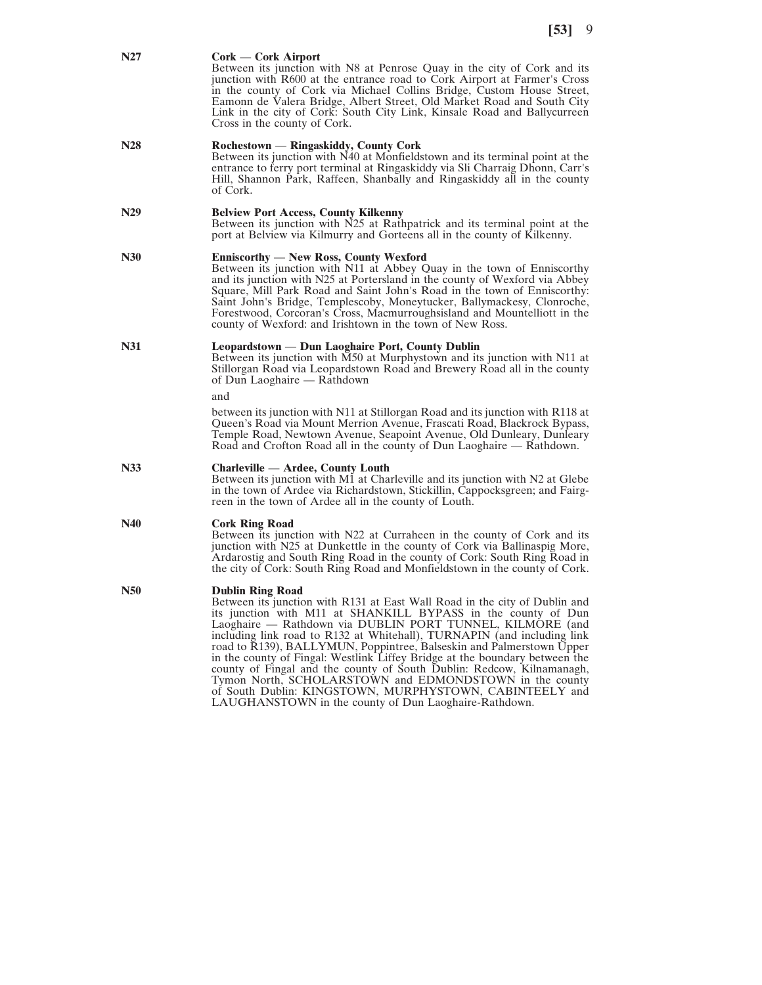#### **N27 Cork** — **Cork Airport**

Between its junction with N8 at Penrose Quay in the city of Cork and its junction with R600 at the entrance road to Cork Airport at Farmer's Cross in the county of Cork via Michael Collins Bridge, Custom House Street, Eamonn de Valera Bridge, Albert Street, Old Market Road and South City Link in the city of Cork: South City Link, Kinsale Road and Ballycurreen Cross in the county of Cork.

## **N28 Rochestown** — **Ringaskiddy, County Cork**

Between its junction with N40 at Monfieldstown and its terminal point at the entrance to ferry port terminal at Ringaskiddy via Sli Charraig Dhonn, Carr's Hill, Shannon Park, Raffeen, Shanbally and Ringaskiddy all in the county of Cork.

### **N29 Belview Port Access, County Kilkenny**

Between its junction with N25 at Rathpatrick and its terminal point at the port at Belview via Kilmurry and Gorteens all in the county of Kilkenny.

#### **N30 Enniscorthy** — **New Ross, County Wexford**

Between its junction with N11 at Abbey Quay in the town of Enniscorthy and its junction with N25 at Portersland in the county of Wexford via Abbey Square, Mill Park Road and Saint John's Road in the town of Enniscorthy: Saint John's Bridge, Templescoby, Moneytucker, Ballymackesy, Clonroche, Forestwood, Corcoran's Cross, Macmurroughsisland and Mountelliott in the county of Wexford: and Irishtown in the town of New Ross.

## **N31 Leopardstown** — **Dun Laoghaire Port, County Dublin**

Between its junction with M50 at Murphystown and its junction with N11 at Stillorgan Road via Leopardstown Road and Brewery Road all in the county of Dun Laoghaire — Rathdown

and

between its junction with N11 at Stillorgan Road and its junction with R118 at Queen's Road via Mount Merrion Avenue, Frascati Road, Blackrock Bypass, Temple Road, Newtown Avenue, Seapoint Avenue, Old Dunleary, Dunleary Road and Crofton Road all in the county of Dun Laoghaire — Rathdown.

#### **N33 Charleville** — **Ardee, County Louth**

Between its junction with M1 at Charleville and its junction with N2 at Glebe in the town of Ardee via Richardstown, Stickillin, Cappocksgreen; and Fairgreen in the town of Ardee all in the county of Louth.

## **N40 Cork Ring Road**

Between its junction with N22 at Curraheen in the county of Cork and its junction with N25 at Dunkettle in the county of Cork via Ballinaspig More, Ardarostig and South Ring Road in the county of Cork: South Ring Road in the city of Cork: South Ring Road and Monfieldstown in the county of Cork.

#### **N50 Dublin Ring Road**

Between its junction with R131 at East Wall Road in the city of Dublin and its junction with M11 at SHANKILL BYPASS in the county of Dun Laoghaire — Rathdown via DUBLIN PORT TUNNEL, KILMORE (and including link road to R132 at Whitehall), TURNAPIN (and including link road to  $\overline{R}$ 139), BALLYMUN, Poppintree, Balseskin and Palmerstown Upper in the county of Fingal: Westlink Liffey Bridge at the boundary between the county of Fingal and the county of South Dublin: Redcow, Kilnamanagh, Tymon North, SCHOLARSTOWN and EDMONDSTOWN in the county of South Dublin: KINGSTOWN, MURPHYSTOWN, CABINTEELY and LAUGHANSTOWN in the county of Dun Laoghaire-Rathdown.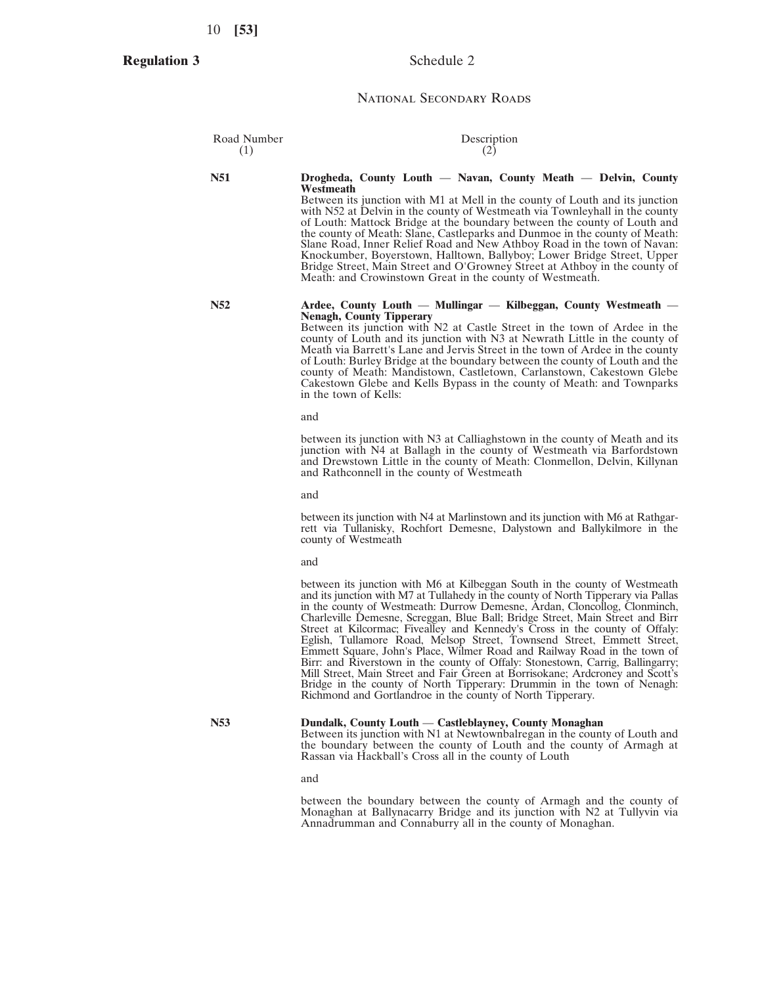**Regulation 3**

## Schedule 2

## National Secondary Roads

| Road Number<br>(1) | Description<br>(2)                                                                                                                                                                                                                                                                                                                                                                                                                                                                                                                                                                                                                                                                                                                                                                                                                                                             |
|--------------------|--------------------------------------------------------------------------------------------------------------------------------------------------------------------------------------------------------------------------------------------------------------------------------------------------------------------------------------------------------------------------------------------------------------------------------------------------------------------------------------------------------------------------------------------------------------------------------------------------------------------------------------------------------------------------------------------------------------------------------------------------------------------------------------------------------------------------------------------------------------------------------|
| N51                | Drogheda, County Louth — Navan, County Meath — Delvin, County<br>Westmeath<br>Between its junction with M1 at Mell in the county of Louth and its junction<br>with N52 at Delvin in the county of Westmeath via Townleyhall in the county<br>of Louth: Mattock Bridge at the boundary between the county of Louth and<br>the county of Meath: Slane, Castleparks and Dunmoe in the county of Meath:<br>Slane Road, Inner Relief Road and New Athboy Road in the town of Navan:<br>Knockumber, Boyerstown, Halltown, Ballyboy; Lower Bridge Street, Upper<br>Bridge Street, Main Street and O'Growney Street at Athboy in the county of<br>Meath: and Crowinstown Great in the county of Westmeath.                                                                                                                                                                             |
| <b>N52</b>         | Ardee, County Louth — Mullingar — Kilbeggan, County Westmeath —<br><b>Nenagh, County Tipperary</b><br>Between its junction with N2 at Castle Street in the town of Ardee in the<br>county of Louth and its junction with N3 at Newrath Little in the county of<br>Meath via Barrett's Lane and Jervis Street in the town of Ardee in the county<br>of Louth: Burley Bridge at the boundary between the county of Louth and the<br>county of Meath: Mandistown, Castletown, Carlanstown, Cakestown Glebe<br>Cakestown Glebe and Kells Bypass in the county of Meath: and Townparks<br>in the town of Kells:<br>and                                                                                                                                                                                                                                                              |
|                    | between its junction with N3 at Calliaghstown in the county of Meath and its<br>junction with N4 at Ballagh in the county of Westmeath via Barfordstown<br>and Drewstown Little in the county of Meath: Clonmellon, Delvin, Killynan<br>and Rathconnell in the county of Westmeath                                                                                                                                                                                                                                                                                                                                                                                                                                                                                                                                                                                             |
|                    | and<br>between its junction with N4 at Marlinstown and its junction with M6 at Rathgar-<br>rett via Tullanisky, Rochfort Demesne, Dalystown and Ballykilmore in the<br>county of Westmeath<br>and                                                                                                                                                                                                                                                                                                                                                                                                                                                                                                                                                                                                                                                                              |
|                    | between its junction with M6 at Kilbeggan South in the county of Westmeath<br>and its junction with M7 at Tullahedy in the county of North Tipperary via Pallas<br>in the county of Westmeath: Durrow Demesne, Ardan, Cloncollog, Clonminch,<br>Charleville Demesne, Screggan, Blue Ball; Bridge Street, Main Street and Birr<br>Street at Kilcormac; Fivealley and Kennedy's Cross in the county of Offaly:<br>Eglish, Tullamore Road, Melsop Street, Townsend Street, Emmett Street,<br>Emmett Square, John's Place, Wilmer Road and Railway Road in the town of<br>Birr: and Riverstown in the county of Offaly: Stonestown, Carrig, Ballingarry;<br>Mill Street, Main Street and Fair Green at Borrisokane; Ardcroney and Scott's<br>Bridge in the county of North Tipperary: Drummin in the town of Nenagh:<br>Richmond and Gortlandroe in the county of North Tipperary. |

#### **N53 Dundalk, County Louth** — **Castleblayney, County Monaghan**

Between its junction with N1 at Newtownbalregan in the county of Louth and the boundary between the county of Louth and the county of Armagh at Rassan via Hackball's Cross all in the county of Louth

and

between the boundary between the county of Armagh and the county of Monaghan at Ballynacarry Bridge and its junction with N2 at Tullyvin via Annadrumman and Connaburry all in the county of Monaghan.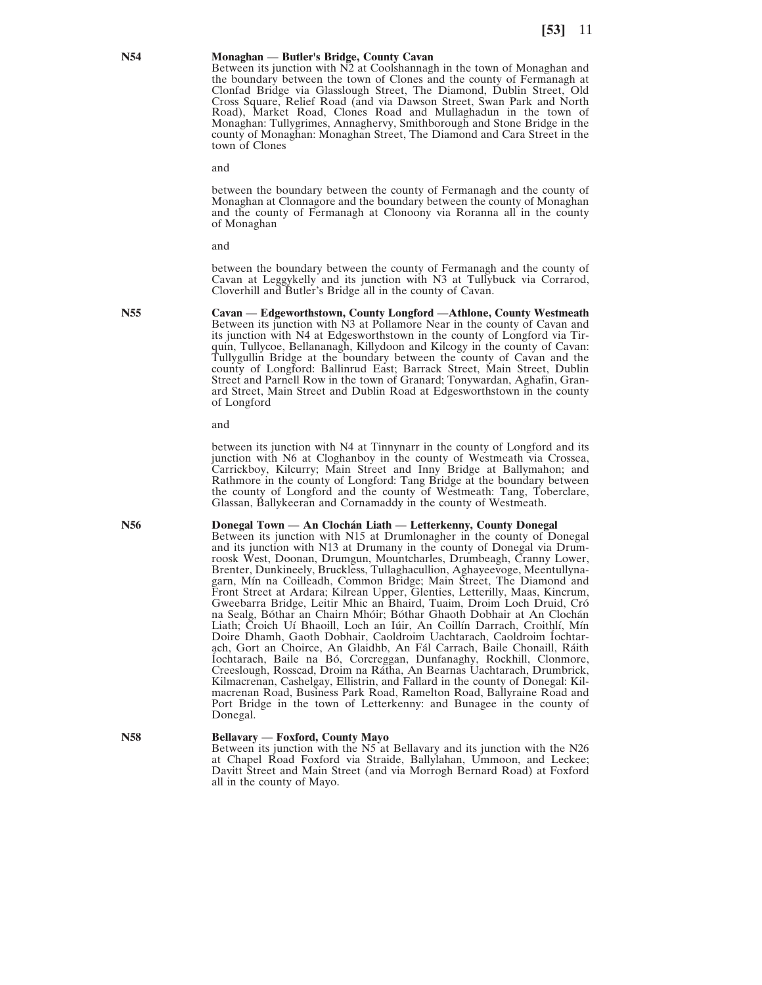#### **N54 Monaghan** — **Butler's Bridge, County Cavan**

Between its junction with N2 at Coolshannagh in the town of Monaghan and the boundary between the town of Clones and the county of Fermanagh at Clonfad Bridge via Glasslough Street, The Diamond, Dublin Street, Old Cross Square, Relief Road (and via Dawson Street, Swan Park and North Road), Market Road, Clones Road and Mullaghadun in the town of Monaghan: Tullygrimes, Annaghervy, Smithborough and Stone Bridge in the county of Monaghan: Monaghan Street, The Diamond and Cara Street in the town of Clones

and

between the boundary between the county of Fermanagh and the county of Monaghan at Clonnagore and the boundary between the county of Monaghan and the county of Fermanagh at Clonoony via Roranna all in the county of Monaghan

and

between the boundary between the county of Fermanagh and the county of Cavan at Leggykelly and its junction with N3 at Tullybuck via Corrarod, Cloverhill and Butler's Bridge all in the county of Cavan.

**N55 Cavan** — **Edgeworthstown, County Longford** —**Athlone, County Westmeath** Between its junction with N3 at Pollamore Near in the county of Cavan and its junction with N4 at Edgesworthstown in the county of Longford via Tirquin, Tullycoe, Bellananagh, Killydoon and Kilcogy in the county of Cavan: Tullygullin Bridge at the boundary between the county of Cavan and the county of Longford: Ballinrud East; Barrack Street, Main Street, Dublin Street and Parnell Row in the town of Granard; Tonywardan, Aghafin, Granard Street, Main Street and Dublin Road at Edgesworthstown in the county of Longford

and

between its junction with N4 at Tinnynarr in the county of Longford and its junction with N6 at Cloghanboy in the county of Westmeath via Crossea, Carrickboy, Kilcurry; Main Street and Inny Bridge at Ballymahon; and Rathmore in the county of Longford: Tang Bridge at the boundary between the county of Longford and the county of Westmeath: Tang, Toberclare, Glassan, Ballykeeran and Cornamaddy in the county of Westmeath.

### **N56 Donegal Town** — **An Clochán Liath** — **Letterkenny, County Donegal**

Between its junction with N15 at Drumlonagher in the county of Donegal and its junction with N13 at Drumany in the county of Donegal via Drumroosk West, Doonan, Drumgun, Mountcharles, Drumbeagh, Cranny Lower, Brenter, Dunkineely, Bruckless, Tullaghacullion, Aghayeevoge, Meentullynagarn, Mín na Coilleadh, Common Bridge; Main Street, The Diamond and Front Street at Ardara; Kilrean Upper, Glenties, Letterilly, Maas, Kincrum, Gweebarra Bridge, Leitir Mhic an Bhaird, Tuaim, Droim Loch Druid, Cró na Sealg, Bóthar an Chairn Mhóir; Bóthar Ghaoth Dobhair at An Clochán Liath; Croich Uí Bhaoill, Loch an Iúir, An Coillín Darrach, Croithlí, Mín Doire Dhamh, Gaoth Dobhair, Caoldroim Uachtarach, Caoldroim Íochtarach, Gort an Choirce, An Glaidhb, An Fál Carrach, Baile Chonaill, Ráith Íochtarach, Baile na Bó, Corcreggan, Dunfanaghy, Rockhill, Clonmore, Creeslough, Rosscad, Droim na Rátha, An Bearnas Uachtarach, Drumbrick, Kilmacrenan, Cashelgay, Ellistrin, and Fallard in the county of Donegal: Kilmacrenan Road, Business Park Road, Ramelton Road, Ballyraine Road and Port Bridge in the town of Letterkenny: and Bunagee in the county of Donegal.

#### **N58 Bellavary** — **Foxford, County Mayo**

Between its junction with the N5 at Bellavary and its junction with the N26 at Chapel Road Foxford via Straide, Ballylahan, Ummoon, and Leckee; Davitt Street and Main Street (and via Morrogh Bernard Road) at Foxford all in the county of Mayo.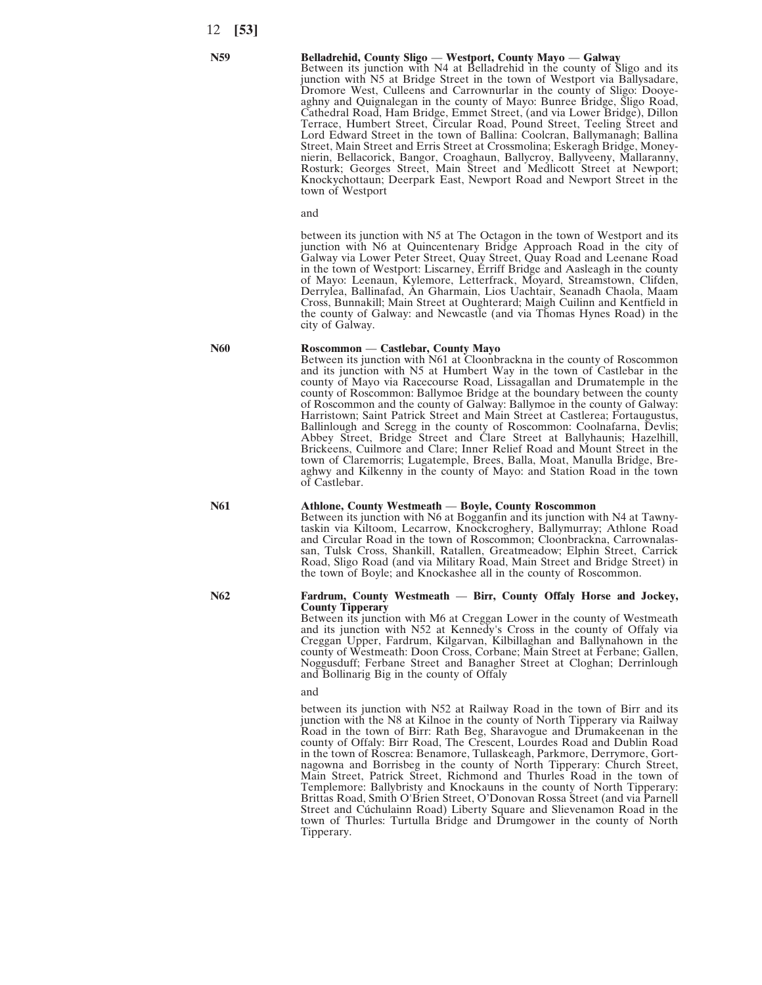## **N59 Belladrehid, County Sligo** — **Westport, County Mayo** — **Galway**

Between its junction with N4 at Belladrehid in the county of Sligo and its junction with N5 at Bridge Street in the town of Westport via Ballysadare, Dromore West, Culleens and Carrownurlar in the county of Sligo: Dooyeaghny and Quignalegan in the county of Mayo: Bunree Bridge, Sligo Road, Cathedral Road, Ham Bridge, Emmet Street, (and via Lower Bridge), Dillon Terrace, Humbert Street, Circular Road, Pound Street, Teeling Street and Lord Edward Street in the town of Ballina: Coolcran, Ballymanagh; Ballina Street, Main Street and Erris Street at Crossmolina; Eskeragh Bridge, Moneynierin, Bellacorick, Bangor, Croaghaun, Ballycroy, Ballyveeny, Mallaranny, Rosturk; Georges Street, Main Street and Medlicott Street at Newport; Knockychottaun; Deerpark East, Newport Road and Newport Street in the town of Westport

and

between its junction with N5 at The Octagon in the town of Westport and its junction with N6 at Quincentenary Bridge Approach Road in the city of Galway via Lower Peter Street, Quay Street, Quay Road and Leenane Road in the town of Westport: Liscarney, Erriff Bridge and Aasleagh in the county of Mayo: Leenaun, Kylemore, Letterfrack, Moyard, Streamstown, Clifden, Derrylea, Ballinafad, An Gharmain, Lios Uachtair, Seanadh Chaola, Maam Cross, Bunnakill; Main Street at Oughterard; Maigh Cuilinn and Kentfield in the county of Galway: and Newcastle (and via Thomas Hynes Road) in the city of Galway.

#### **N60 Roscommon** — **Castlebar, County Mayo**

Between its junction with N61 at Cloonbrackna in the county of Roscommon and its junction with N5 at Humbert Way in the town of Castlebar in the county of Mayo via Racecourse Road, Lissagallan and Drumatemple in the county of Roscommon: Ballymoe Bridge at the boundary between the county of Roscommon and the county of Galway: Ballymoe in the county of Galway: Harristown; Saint Patrick Street and Main Street at Castlerea; Fortaugustus, Ballinlough and Scregg in the county of Roscommon: Coolnafarna, Devlis; Abbey Street, Bridge Street and Clare Street at Ballyhaunis; Hazelhill, Brickeens, Cuilmore and Clare; Inner Relief Road and Mount Street in the town of Claremorris; Lugatemple, Brees, Balla, Moat, Manulla Bridge, Breaghwy and Kilkenny in the county of Mayo: and Station Road in the town of Castlebar.

### **N61 Athlone, County Westmeath** — **Boyle, County Roscommon**

Between its junction with N6 at Bogganfin and its junction with N4 at Tawnytaskin via Kiltoom, Lecarrow, Knockcroghery, Ballymurray; Athlone Road and Circular Road in the town of Roscommon; Cloonbrackna, Carrownalassan, Tulsk Cross, Shankill, Ratallen, Greatmeadow; Elphin Street, Carrick Road, Sligo Road (and via Military Road, Main Street and Bridge Street) in the town of Boyle; and Knockashee all in the county of Roscommon.

#### **N62 Fardrum, County Westmeath** — **Birr, County Offaly Horse and Jockey, County Tipperary**

Between its junction with M6 at Creggan Lower in the county of Westmeath and its junction with N52 at Kennedy's Cross in the county of Offaly via Creggan Upper, Fardrum, Kilgarvan, Kilbillaghan and Ballynahown in the county of Westmeath: Doon Cross, Corbane; Main Street at Ferbane; Gallen, Noggusduff; Ferbane Street and Banagher Street at Cloghan; Derrinlough and Bollinarig Big in the county of Offaly

#### and

between its junction with N52 at Railway Road in the town of Birr and its junction with the N8 at Kilnoe in the county of North Tipperary via Railway Road in the town of Birr: Rath Beg, Sharavogue and Drumakeenan in the county of Offaly: Birr Road, The Crescent, Lourdes Road and Dublin Road in the town of Roscrea: Benamore, Tullaskeagh, Parkmore, Derrymore, Gortnagowna and Borrisbeg in the county of North Tipperary: Church Street, Main Street, Patrick Street, Richmond and Thurles Road in the town of Templemore: Ballybristy and Knockauns in the county of North Tipperary: Brittas Road, Smith O'Brien Street, O'Donovan Rossa Street (and via Parnell Street and Cúchulainn Road) Liberty Square and Slievenamon Road in the town of Thurles: Turtulla Bridge and Drumgower in the county of North Tipperary.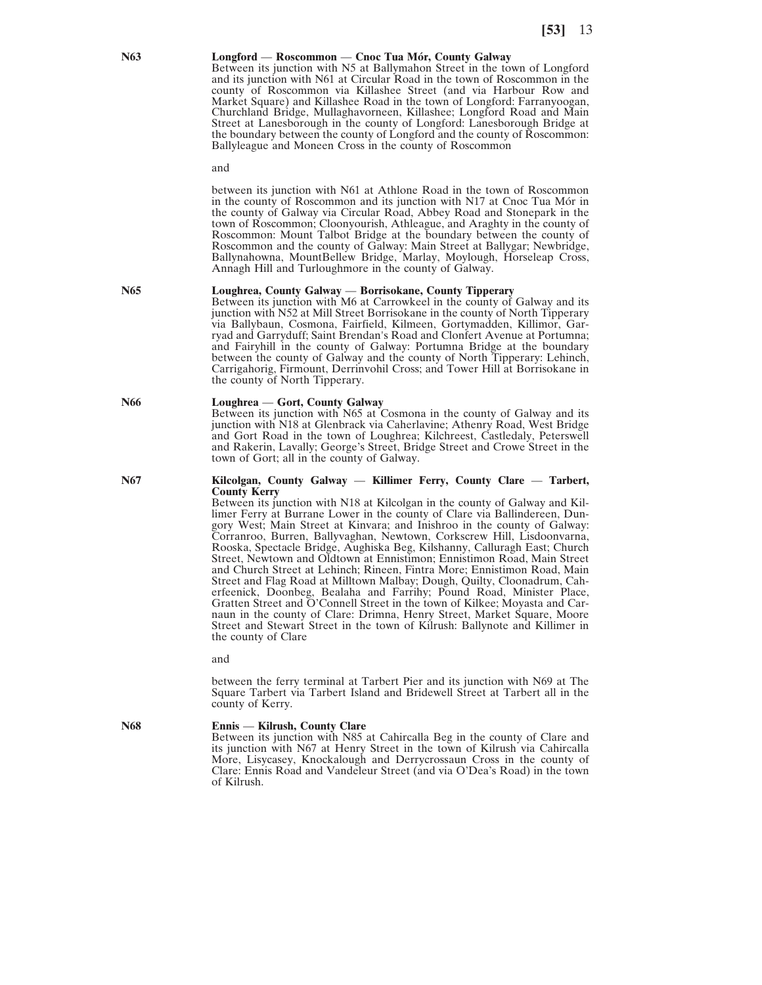#### **N63 Longford** — **Roscommon** — **Cnoc Tua Mór, County Galway**

Between its junction with N5 at Ballymahon Street in the town of Longford and its junction with N61 at Circular Road in the town of Roscommon in the county of Roscommon via Killashee Street (and via Harbour Row and Market Square) and Killashee Road in the town of Longford: Farranyoogan, Churchland Bridge, Mullaghavorneen, Killashee; Longford Road and Main Street at Lanesborough in the county of Longford: Lanesborough Bridge at the boundary between the county of Longford and the county of Roscommon: Ballyleague and Moneen Cross in the county of Roscommon

and

between its junction with N61 at Athlone Road in the town of Roscommon in the county of Roscommon and its junction with N17 at Cnoc Tua Mór in the county of Galway via Circular Road, Abbey Road and Stonepark in the town of Roscommon; Cloonyourish, Athleague, and Araghty in the county of Roscommon: Mount Talbot Bridge at the boundary between the county of Roscommon and the county of Galway: Main Street at Ballygar; Newbridge, Ballynahowna, MountBellew Bridge, Marlay, Moylough, Horseleap Cross, Annagh Hill and Turloughmore in the county of Galway.

#### **N65 Loughrea, County Galway** — **Borrisokane, County Tipperary**

Between its junction with M6 at Carrowkeel in the county of Galway and its junction with N52 at Mill Street Borrisokane in the county of North Tipperary via Ballybaun, Cosmona, Fairfield, Kilmeen, Gortymadden, Killimor, Garryad and Garryduff; Saint Brendan's Road and Clonfert Avenue at Portumna; and Fairyhill in the county of Galway: Portumna Bridge at the boundary between the county of Galway and the county of North Tipperary: Lehinch, Carrigahorig, Firmount, Derrinvohil Cross; and Tower Hill at Borrisokane in the county of North Tipperary.

#### **N66 Loughrea** — **Gort, County Galway**

Between its junction with N65 at Cosmona in the county of Galway and its junction with N18 at Glenbrack via Caherlavine; Athenry Road, West Bridge and Gort Road in the town of Loughrea; Kilchreest, Castledaly, Peterswell and Rakerin, Lavally; George's Street, Bridge Street and Crowe Street in the town of Gort; all in the county of Galway.

### **N67 Kilcolgan, County Galway** — **Killimer Ferry, County Clare** — **Tarbert, County Kerry**

Between its junction with N18 at Kilcolgan in the county of Galway and Killimer Ferry at Burrane Lower in the county of Clare via Ballindereen, Dungory West; Main Street at Kinvara; and Inishroo in the county of Galway: Corranroo, Burren, Ballyvaghan, Newtown, Corkscrew Hill, Lisdoonvarna, Rooska, Spectacle Bridge, Aughiska Beg, Kilshanny, Calluragh East; Church Street, Newtown and Oldtown at Ennistimon; Ennistimon Road, Main Street and Church Street at Lehinch; Rineen, Fintra More; Ennistimon Road, Main Street and Flag Road at Milltown Malbay; Dough, Quilty, Cloonadrum, Caherfeenick, Doonbeg, Bealaha and Farrihy; Pound Road, Minister Place, Gratten Street and O'Connell Street in the town of Kilkee; Moyasta and Carnaun in the county of Clare: Drimna, Henry Street, Market Square, Moore Street and Stewart Street in the town of Kilrush: Ballynote and Killimer in the county of Clare

and

between the ferry terminal at Tarbert Pier and its junction with N69 at The Square Tarbert via Tarbert Island and Bridewell Street at Tarbert all in the county of Kerry.

**N68 Ennis** — **Kilrush, County Clare**

Between its junction with N85 at Cahircalla Beg in the county of Clare and its junction with N67 at Henry Street in the town of Kilrush via Cahircalla More, Lisycasey, Knockalough and Derrycrossaun Cross in the county of Clare: Ennis Road and Vandeleur Street (and via O'Dea's Road) in the town of Kilrush.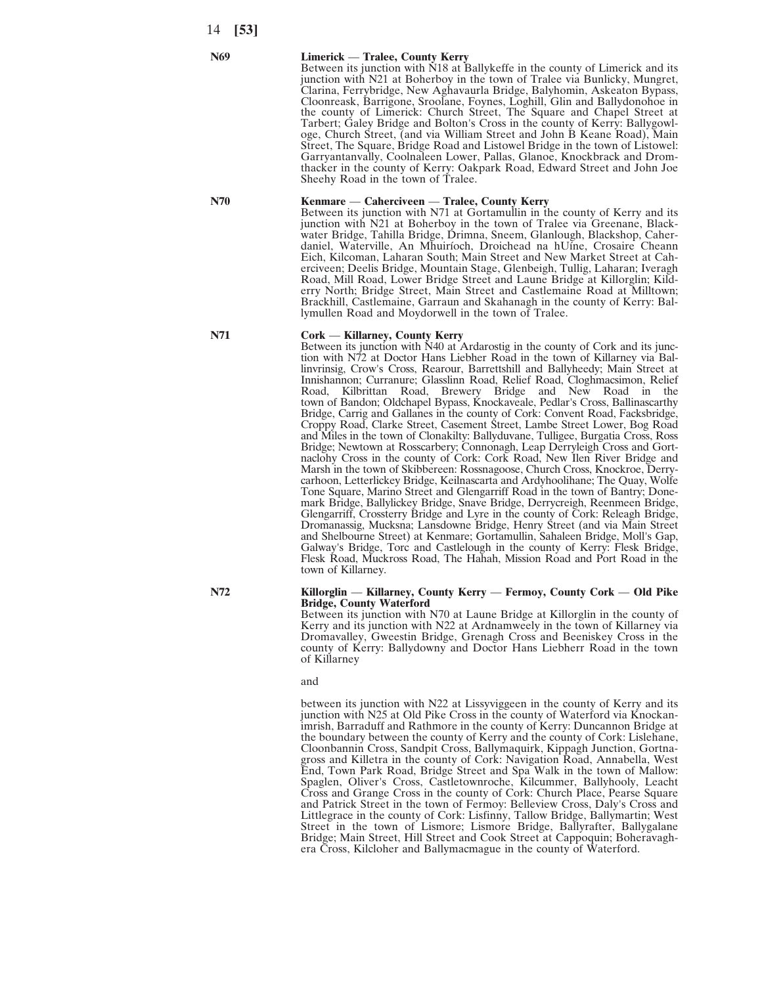#### **N69 Limerick** — **Tralee, County Kerry**

Between its junction with N18 at Ballykeffe in the county of Limerick and its junction with N21 at Boherboy in the town of Tralee via Bunlicky, Mungret, Clarina, Ferrybridge, New Aghavaurla Bridge, Balyhomin, Askeaton Bypass, Cloonreask, Barrigone, Sroolane, Foynes, Loghill, Glin and Ballydonohoe in the county of Limerick: Church Street, The Square and Chapel Street at Tarbert; Galey Bridge and Bolton's Cross in the county of Kerry: Ballygowloge, Church Street, (and via William Street and John B Keane Road), Main Street, The Square, Bridge Road and Listowel Bridge in the town of Listowel: Garryantanvally, Coolnaleen Lower, Pallas, Glanoe, Knockbrack and Dromthacker in the county of Kerry: Oakpark Road, Edward Street and John Joe Sheehy Road in the town of Tralee.

## **N70 Kenmare** — **Caherciveen** — **Tralee, County Kerry**

Between its junction with N71 at Gortamullin in the county of Kerry and its junction with N21 at Boherboy in the town of Tralee via Greenane, Blackwater Bridge, Tahilla Bridge, Drimna, Sneem, Glanlough, Blackshop, Caherdaniel, Waterville, An Mhuiríoch, Droichead na hUíne, Crosaire Cheann Eich, Kilcoman, Laharan South; Main Street and New Market Street at Caherciveen; Deelis Bridge, Mountain Stage, Glenbeigh, Tullig, Laharan; Iveragh Road, Mill Road, Lower Bridge Street and Laune Bridge at Killorglin; Kilderry North; Bridge Street, Main Street and Castlemaine Road at Milltown; Brackhill, Castlemaine, Garraun and Skahanagh in the county of Kerry: Ballymullen Road and Moydorwell in the town of Tralee.

## **N71 Cork** — **Killarney, County Kerry**

Between its junction with N40 at Ardarostig in the county of Cork and its junction with N72 at Doctor Hans Liebher Road in the town of Killarney via Ballinvrinsig, Crow's Cross, Rearour, Barrettshill and Ballyheedy; Main Street at Innishannon; Curranure; Glasslinn Road, Relief Road, Cloghmacsimon, Relief Road, Kilbrittan Road, Brewery Bridge and New Road in the town of Bandon; Oldchapel Bypass, Knockaveale, Pedlar's Cross, Ballinascarthy Bridge, Carrig and Gallanes in the county of Cork: Convent Road, Facksbridge, Croppy Road, Clarke Street, Casement Street, Lambe Street Lower, Bog Road and Miles in the town of Clonakilty: Ballyduvane, Tulligee, Burgatia Cross, Ross Bridge; Newtown at Rosscarbery; Connonagh, Leap Derryleigh Cross and Gortnaclohy Cross in the county of Cork: Cork Road, New Ilen River Bridge and Marsh in the town of Skibbereen: Rossnagoose, Church Cross, Knockroe, Derrycarhoon, Letterlickey Bridge, Keilnascarta and Ardyhoolihane; The Quay, Wolfe Tone Square, Marino Street and Glengarriff Road in the town of Bantry; Donemark Bridge, Ballylickey Bridge, Snave Bridge, Derrycreigh, Reenmeen Bridge, Glengarriff, Crossterry Bridge and Lyre in the county of Cork: Releagh Bridge, Dromanassig, Mucksna; Lansdowne Bridge, Henry Street (and via Main Street and Shelbourne Street) at Kenmare; Gortamullin, Sahaleen Bridge, Moll's Gap, Galway's Bridge, Torc and Castlelough in the county of Kerry: Flesk Bridge, Flesk Road, Muckross Road, The Hahah, Mission Road and Port Road in the town of Killarney.

#### **N72 Killorglin** — **Killarney, County Kerry** — **Fermoy, County Cork** — **Old Pike Bridge, County Waterford**

Between its junction with N70 at Laune Bridge at Killorglin in the county of Kerry and its junction with N22 at Ardnamweely in the town of Killarney via Dromavalley, Gweestin Bridge, Grenagh Cross and Beeniskey Cross in the county of Kerry: Ballydowny and Doctor Hans Liebherr Road in the town of Killarney

#### and

between its junction with N22 at Lissyviggeen in the county of Kerry and its junction with N25 at Old Pike Cross in the county of Waterford via Knockanimrish, Barraduff and Rathmore in the county of Kerry: Duncannon Bridge at the boundary between the county of Kerry and the county of Cork: Lislehane, Cloonbannin Cross, Sandpit Cross, Ballymaquirk, Kippagh Junction, Gortnagross and Killetra in the county of Cork: Navigation Road, Annabella, West End, Town Park Road, Bridge Street and Spa Walk in the town of Mallow: Spaglen, Oliver's Cross, Castletownroche, Kilcummer, Ballyhooly, Leacht Cross and Grange Cross in the county of Cork: Church Place, Pearse Square and Patrick Street in the town of Fermoy: Belleview Cross, Daly's Cross and Littlegrace in the county of Cork: Lisfinny, Tallow Bridge, Ballymartin; West Street in the town of Lismore; Lismore Bridge, Ballyrafter, Ballygalane Bridge; Main Street, Hill Street and Cook Street at Cappoquin; Boheravaghera Cross, Kilcloher and Ballymacmague in the county of Waterford.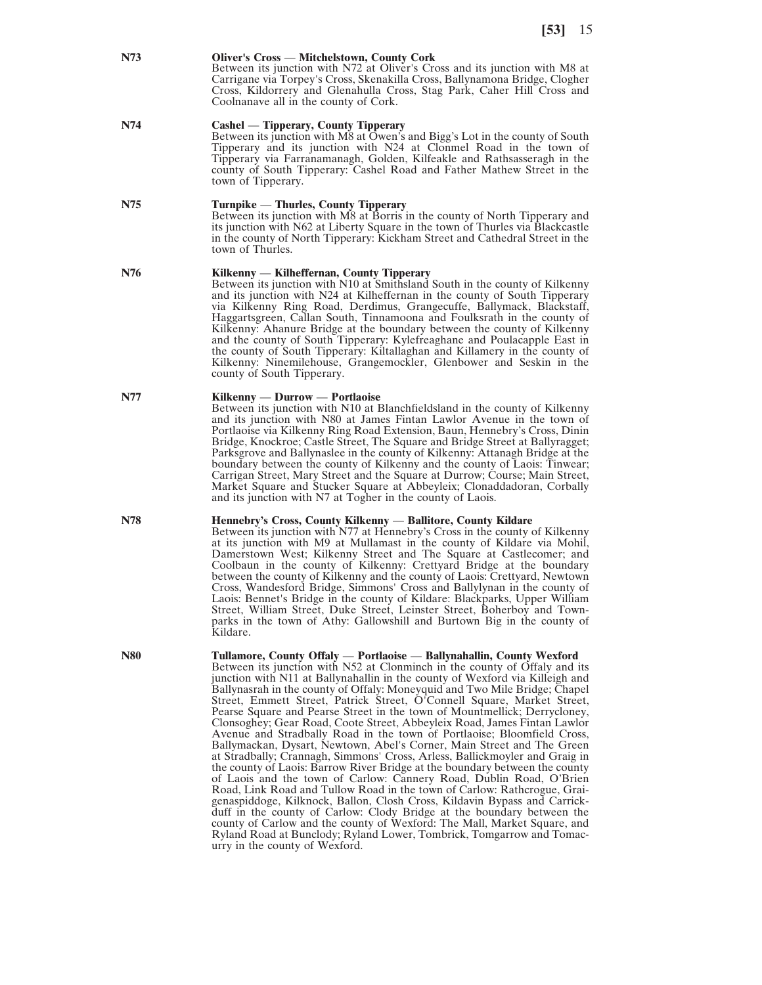#### **N73 Oliver's Cross** — **Mitchelstown, County Cork**

Between its junction with N72 at Oliver's Cross and its junction with M8 at Carrigane via Torpey's Cross, Skenakilla Cross, Ballynamona Bridge, Clogher Cross, Kildorrery and Glenahulla Cross, Stag Park, Caher Hill Cross and Coolnanave all in the county of Cork.

### **N74 Cashel** — **Tipperary, County Tipperary**

Between its junction with M8 at Owen's and Bigg's Lot in the county of South Tipperary and its junction with N24 at Clonmel Road in the town of Tipperary via Farranamanagh, Golden, Kilfeakle and Rathsasseragh in the county of South Tipperary: Cashel Road and Father Mathew Street in the town of Tipperary.

### **N75 Turnpike** — **Thurles, County Tipperary**

Between its junction with M8 at Borris in the county of North Tipperary and its junction with N62 at Liberty Square in the town of Thurles via Blackcastle in the county of North Tipperary: Kickham Street and Cathedral Street in the town of Thurles.

## **N76 Kilkenny** — **Kilheffernan, County Tipperary**

Between its junction with N10 at Smithsland South in the county of Kilkenny and its junction with N24 at Kilheffernan in the county of South Tipperary via Kilkenny Ring Road, Derdimus, Grangecuffe, Ballymack, Blackstaff, Haggartsgreen, Callan South, Tinnamoona and Foulksrath in the county of Kilkenny: Ahanure Bridge at the boundary between the county of Kilkenny and the county of South Tipperary: Kylefreaghane and Poulacapple East in the county of South Tipperary: Kiltallaghan and Killamery in the county of Kilkenny: Ninemilehouse, Grangemockler, Glenbower and Seskin in the county of South Tipperary.

### **N77 Kilkenny** — **Durrow** — **Portlaoise**

Between its junction with N10 at Blanchfieldsland in the county of Kilkenny and its junction with N80 at James Fintan Lawlor Avenue in the town of Portlaoise via Kilkenny Ring Road Extension, Baun, Hennebry's Cross, Dinin Bridge, Knockroe; Castle Street, The Square and Bridge Street at Ballyragget; Parksgrove and Ballynaslee in the county of Kilkenny: Attanagh Bridge at the boundary between the county of Kilkenny and the county of Laois: Tinwear; Carrigan Street, Mary Street and the Square at Durrow; Course; Main Street, Market Square and Stucker Square at Abbeyleix; Clonaddadoran, Corbally and its junction with N7 at Togher in the county of Laois.

#### **N78 Hennebry's Cross, County Kilkenny** — **Ballitore, County Kildare**

Between its junction with N77 at Hennebry's Cross in the county of Kilkenny at its junction with M9 at Mullamast in the county of Kildare via Mohil, Damerstown West; Kilkenny Street and The Square at Castlecomer; and Coolbaun in the county of Kilkenny: Crettyard Bridge at the boundary between the county of Kilkenny and the county of Laois: Crettyard, Newtown Cross, Wandesford Bridge, Simmons' Cross and Ballylynan in the county of Laois: Bennet's Bridge in the county of Kildare: Blackparks, Upper William Street, William Street, Duke Street, Leinster Street, Boherboy and Townparks in the town of Athy: Gallowshill and Burtown Big in the county of Kildare.

#### **N80 Tullamore, County Offaly** — **Portlaoise** — **Ballynahallin, County Wexford**

Between its junction with N52 at Clonminch in the county of Offaly and its junction with N11 at Ballynahallin in the county of Wexford via Killeigh and Ballynasrah in the county of Offaly: Moneyquid and Two Mile Bridge; Chapel Street, Emmett Street, Patrick Street, O'Connell Square, Market Street, Pearse Square and Pearse Street in the town of Mountmellick; Derrycloney, Clonsoghey; Gear Road, Coote Street, Abbeyleix Road, James Fintan Lawlor Avenue and Stradbally Road in the town of Portlaoise; Bloomfield Cross, Ballymackan, Dysart, Newtown, Abel's Corner, Main Street and The Green at Stradbally; Crannagh, Simmons' Cross, Arless, Ballickmoyler and Graig in the county of Laois: Barrow River Bridge at the boundary between the county of Laois and the town of Carlow: Cannery Road, Dublin Road, O'Brien Road, Link Road and Tullow Road in the town of Carlow: Rathcrogue, Graigenaspiddoge, Kilknock, Ballon, Closh Cross, Kildavin Bypass and Carrickduff in the county of Carlow: Clody Bridge at the boundary between the county of Carlow and the county of Wexford: The Mall, Market Square, and Ryland Road at Bunclody; Ryland Lower, Tombrick, Tomgarrow and Tomacurry in the county of Wexford.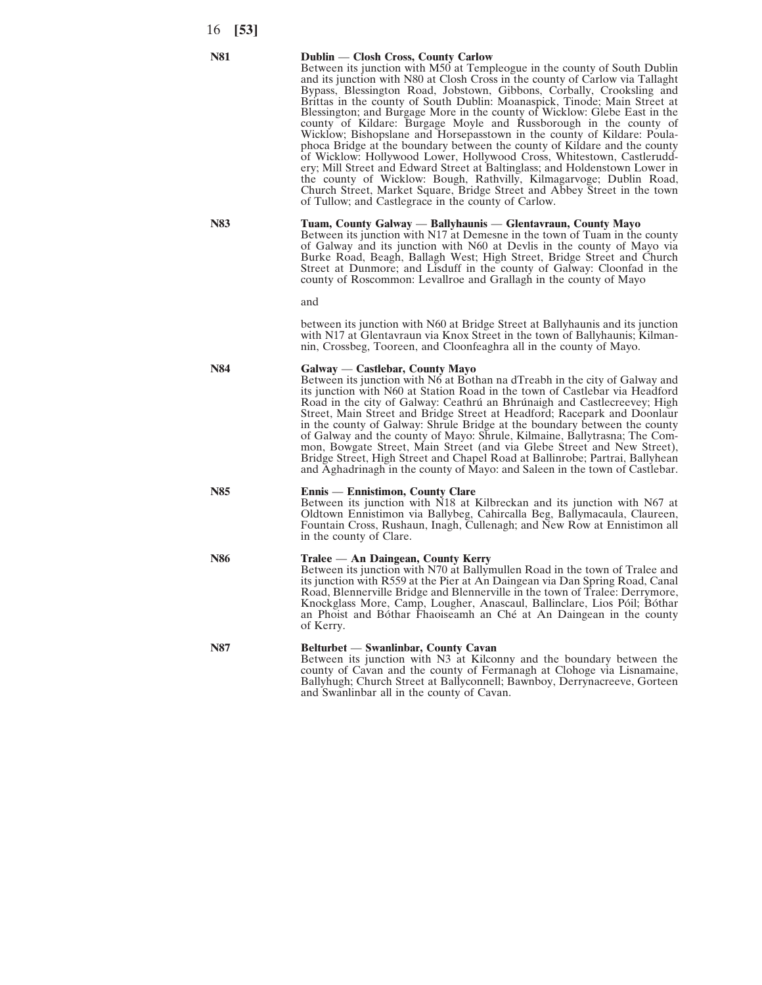#### **N81 Dublin** — **Closh Cross, County Carlow**

Between its junction with M50 at Templeogue in the county of South Dublin and its junction with N80 at Closh Cross in the county of Carlow via Tallaght Bypass, Blessington Road, Jobstown, Gibbons, Corbally, Crooksling and Brittas in the county of South Dublin: Moanaspick, Tinode; Main Street at Blessington; and Burgage More in the county of Wicklow: Glebe East in the county of Kildare: Burgage Moyle and Russborough in the county of Wicklow; Bishopslane and Horsepasstown in the county of Kildare: Poulaphoca Bridge at the boundary between the county of Kildare and the county of Wicklow: Hollywood Lower, Hollywood Cross, Whitestown, Castleruddery; Mill Street and Edward Street at Baltinglass; and Holdenstown Lower in the county of Wicklow: Bough, Rathvilly, Kilmagarvoge; Dublin Road, Church Street, Market Square, Bridge Street and Abbey Street in the town of Tullow; and Castlegrace in the county of Carlow.

## **N83 Tuam, County Galway** — **Ballyhaunis** — **Glentavraun, County Mayo**

Between its junction with N17 at Demesne in the town of Tuam in the county of Galway and its junction with N60 at Devlis in the county of Mayo via Burke Road, Beagh, Ballagh West; High Street, Bridge Street and Church Street at Dunmore; and Lisduff in the county of Galway: Cloonfad in the county of Roscommon: Levallroe and Grallagh in the county of Mayo

and

between its junction with N60 at Bridge Street at Ballyhaunis and its junction with N17 at Glentavraun via Knox Street in the town of Ballyhaunis; Kilmannin, Crossbeg, Tooreen, and Cloonfeaghra all in the county of Mayo.

#### **N84 Galway** — **Castlebar, County Mayo**

Between its junction with N6 at Bothan na dTreabh in the city of Galway and its junction with N60 at Station Road in the town of Castlebar via Headford Road in the city of Galway: Ceathrú an Bhrúnaigh and Castlecreevey; High Street, Main Street and Bridge Street at Headford; Racepark and Doonlaur in the county of Galway: Shrule Bridge at the boundary between the county of Galway and the county of Mayo: Shrule, Kilmaine, Ballytrasna; The Common, Bowgate Street, Main Street (and via Glebe Street and New Street), Bridge Street, High Street and Chapel Road at Ballinrobe; Partrai, Ballyhean and Aghadrinagh in the county of Mayo: and Saleen in the town of Castlebar.

#### **N85 Ennis** — **Ennistimon, County Clare**

Between its junction with N18 at Kilbreckan and its junction with N67 at Oldtown Ennistimon via Ballybeg, Cahircalla Beg, Ballymacaula, Claureen, Fountain Cross, Rushaun, Inagh, Cullenagh; and New Row at Ennistimon all in the county of Clare.

#### **N86 Tralee** — **An Daingean, County Kerry**

Between its junction with N70 at Ballymullen Road in the town of Tralee and its junction with R559 at the Pier at An Daingean via Dan Spring Road, Canal Road, Blennerville Bridge and Blennerville in the town of Tralee: Derrymore, Knockglass More, Camp, Lougher, Anascaul, Ballinclare, Lios Póil; Bóthar an Phoist and Bóthar Fhaoiseamh an Ché at An Daingean in the county of Kerry.

## **N87 Belturbet** — **Swanlinbar, County Cavan** Between its junction with N3 at Kilconny and the boundary between the

county of Cavan and the county of Fermanagh at Clohoge via Lisnamaine, Ballyhugh; Church Street at Ballyconnell; Bawnboy, Derrynacreeve, Gorteen and Swanlinbar all in the county of Cavan.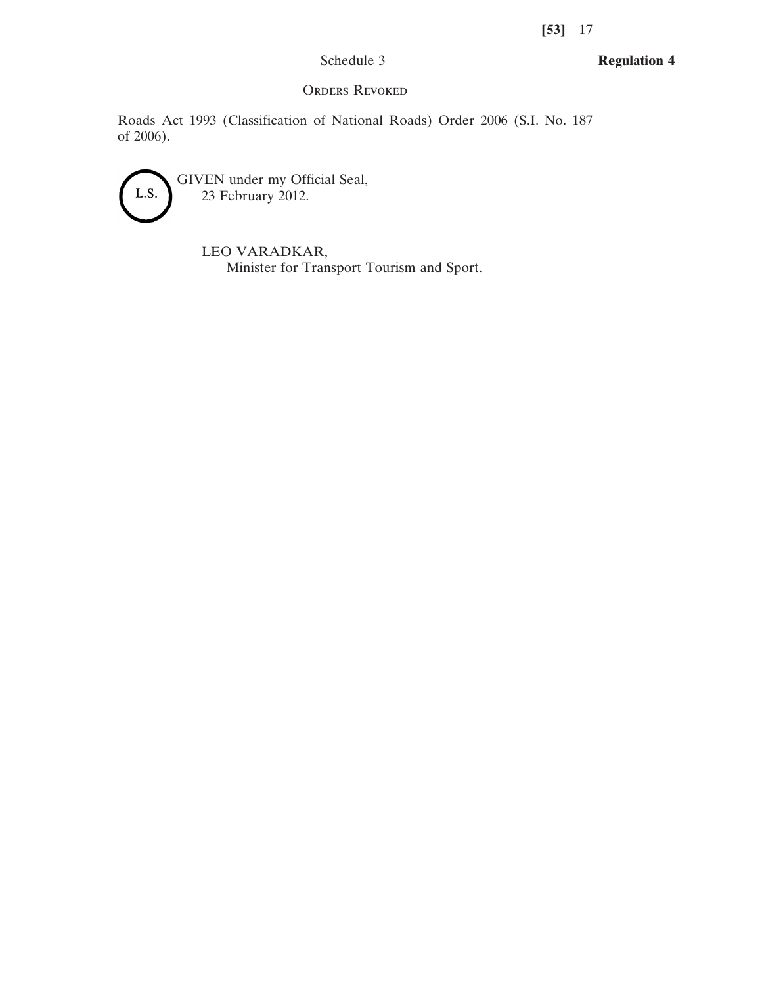# Schedule 3

**Regulation 4**

# ORDERS REVOKED

Roads Act 1993 (Classification of National Roads) Order 2006 (S.I. No. 187 of 2006).



GIVEN under my Official Seal, 23 February 2012.

> LEO VARADKAR, Minister for Transport Tourism and Sport.